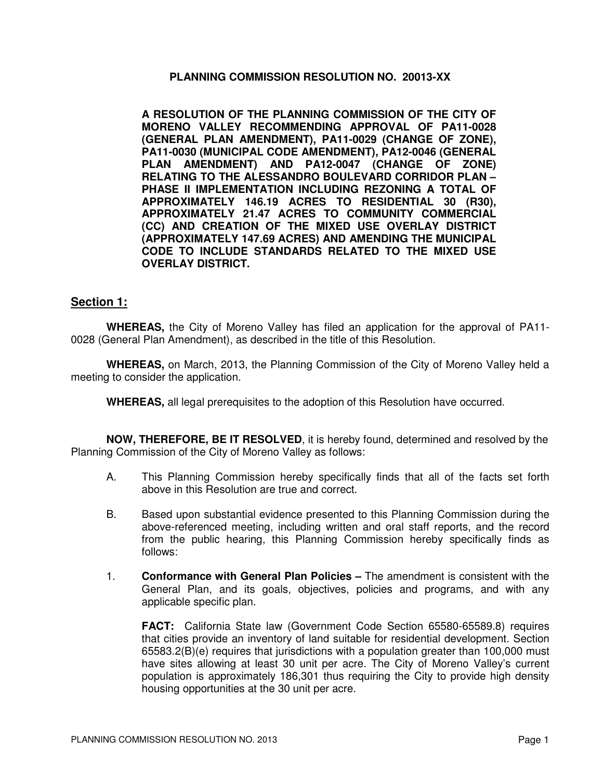### **PLANNING COMMISSION RESOLUTION NO. 20013-XX**

**A RESOLUTION OF THE PLANNING COMMISSION OF THE CITY OF MORENO VALLEY RECOMMENDING APPROVAL OF PA11-0028 (GENERAL PLAN AMENDMENT), PA11-0029 (CHANGE OF ZONE), PA11-0030 (MUNICIPAL CODE AMENDMENT), PA12-0046 (GENERAL PLAN AMENDMENT) AND PA12-0047 (CHANGE OF ZONE) RELATING TO THE ALESSANDRO BOULEVARD CORRIDOR PLAN – PHASE II IMPLEMENTATION INCLUDING REZONING A TOTAL OF APPROXIMATELY 146.19 ACRES TO RESIDENTIAL 30 (R30), APPROXIMATELY 21.47 ACRES TO COMMUNITY COMMERCIAL (CC) AND CREATION OF THE MIXED USE OVERLAY DISTRICT (APPROXIMATELY 147.69 ACRES) AND AMENDING THE MUNICIPAL CODE TO INCLUDE STANDARDS RELATED TO THE MIXED USE OVERLAY DISTRICT.** 

### **Section 1:**

**WHEREAS,** the City of Moreno Valley has filed an application for the approval of PA11- 0028 (General Plan Amendment), as described in the title of this Resolution.

**WHEREAS,** on March, 2013, the Planning Commission of the City of Moreno Valley held a meeting to consider the application.

**WHEREAS,** all legal prerequisites to the adoption of this Resolution have occurred.

**NOW, THEREFORE, BE IT RESOLVED**, it is hereby found, determined and resolved by the Planning Commission of the City of Moreno Valley as follows:

- A. This Planning Commission hereby specifically finds that all of the facts set forth above in this Resolution are true and correct.
- B. Based upon substantial evidence presented to this Planning Commission during the above-referenced meeting, including written and oral staff reports, and the record from the public hearing, this Planning Commission hereby specifically finds as follows:
- 1. **Conformance with General Plan Policies** The amendment is consistent with the General Plan, and its goals, objectives, policies and programs, and with any applicable specific plan.

**FACT:** California State law (Government Code Section 65580-65589.8) requires that cities provide an inventory of land suitable for residential development. Section 65583.2(B)(e) requires that jurisdictions with a population greater than 100,000 must have sites allowing at least 30 unit per acre. The City of Moreno Valley's current population is approximately 186,301 thus requiring the City to provide high density housing opportunities at the 30 unit per acre.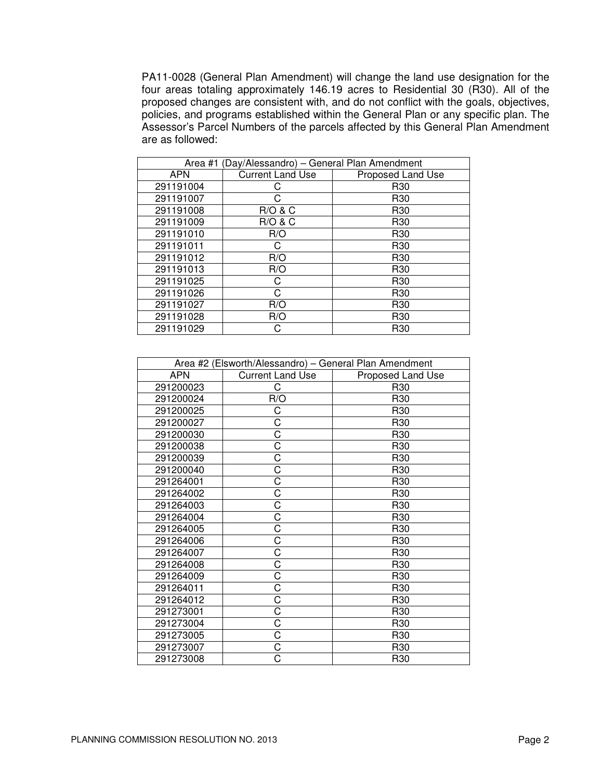PA11-0028 (General Plan Amendment) will change the land use designation for the four areas totaling approximately 146.19 acres to Residential 30 (R30). All of the proposed changes are consistent with, and do not conflict with the goals, objectives, policies, and programs established within the General Plan or any specific plan. The Assessor's Parcel Numbers of the parcels affected by this General Plan Amendment are as followed:

| Area #1 (Day/Alessandro) - General Plan Amendment |                         |                   |
|---------------------------------------------------|-------------------------|-------------------|
| <b>APN</b>                                        | <b>Current Land Use</b> | Proposed Land Use |
| 291191004                                         | C,                      | R <sub>30</sub>   |
| 291191007                                         | C                       | R <sub>30</sub>   |
| 291191008                                         | R/O & C                 | R <sub>30</sub>   |
| 291191009                                         | R/O & C                 | R <sub>30</sub>   |
| 291191010                                         | R/O                     | R <sub>30</sub>   |
| 291191011                                         | С                       | R <sub>30</sub>   |
| 291191012                                         | R/O                     | R <sub>30</sub>   |
| 291191013                                         | R/O                     | R <sub>30</sub>   |
| 291191025                                         | C,                      | R <sub>30</sub>   |
| 291191026                                         | C                       | R <sub>30</sub>   |
| 291191027                                         | R/O                     | R <sub>30</sub>   |
| 291191028                                         | R/O                     | R30               |
| 291191029                                         | C,                      | R30               |

| Area #2 (Elsworth/Alessandro) - General Plan Amendment |                         |                          |
|--------------------------------------------------------|-------------------------|--------------------------|
| <b>APN</b>                                             | <b>Current Land Use</b> | <b>Proposed Land Use</b> |
| 291200023                                              | C                       | R30                      |
| 291200024                                              | R/O                     | R <sub>30</sub>          |
| 291200025                                              | С                       | R <sub>30</sub>          |
| 291200027                                              | С                       | R30                      |
| 291200030                                              | Ć                       | R30                      |
| 291200038                                              | Ć                       | R30                      |
| 291200039                                              | Ć                       | R <sub>30</sub>          |
| 291200040                                              | Ć                       | R30                      |
| 291264001                                              | Ć                       | R <sub>30</sub>          |
| 291264002                                              | C                       | R30                      |
| 291264003                                              | Ć                       | R30                      |
| 291264004                                              | Ć                       | R30                      |
| 291264005                                              | Ć                       | R30                      |
| 291264006                                              | C                       | R <sub>30</sub>          |
| 291264007                                              | Ć                       | R30                      |
| 291264008                                              | Ć                       | R30                      |
| 291264009                                              | Ć                       | R30                      |
| 291264011                                              | С                       | R30                      |
| 291264012                                              | Ć                       | R30                      |
| 291273001                                              | Ć                       | R30                      |
| 291273004                                              | C                       | R30                      |
| 291273005                                              | C                       | R30                      |
| 291273007                                              | Ć                       | R30                      |
| 291273008                                              |                         | R30                      |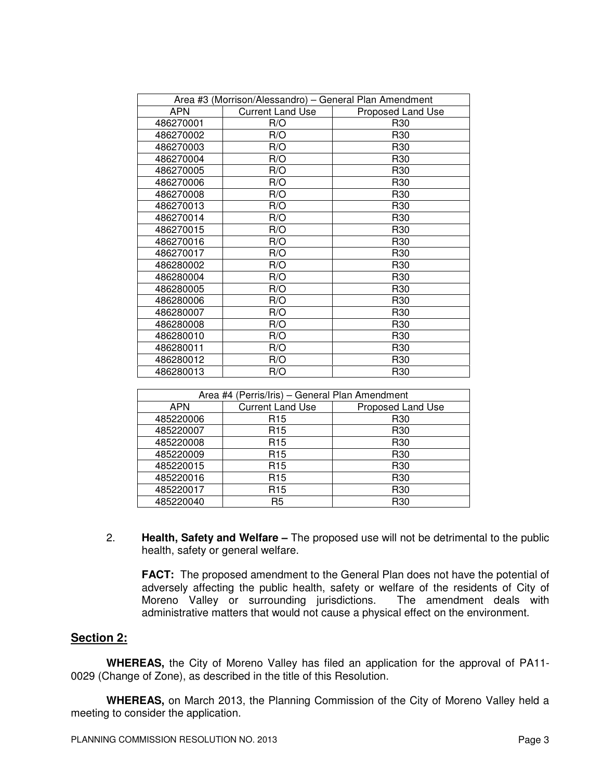| Area #3 (Morrison/Alessandro) - General Plan Amendment |                         |                   |
|--------------------------------------------------------|-------------------------|-------------------|
| <b>APN</b>                                             | <b>Current Land Use</b> | Proposed Land Use |
| 486270001                                              | R/O                     | R <sub>30</sub>   |
| 486270002                                              | R/O                     | R30               |
| 486270003                                              | R/O                     | R <sub>30</sub>   |
| 486270004                                              | R/O                     | R30               |
| 486270005                                              | R/O                     | R <sub>30</sub>   |
| 486270006                                              | R/O                     | R30               |
| 486270008                                              | R/O                     | R30               |
| 486270013                                              | R/O                     | R <sub>30</sub>   |
| 486270014                                              | R/O                     | R30               |
| 486270015                                              | R/O                     | R <sub>30</sub>   |
| 486270016                                              | R/O                     | R <sub>30</sub>   |
| 486270017                                              | R/O                     | R <sub>30</sub>   |
| 486280002                                              | R/O                     | R <sub>30</sub>   |
| 486280004                                              | R/O                     | R <sub>30</sub>   |
| 486280005                                              | R/O                     | R <sub>30</sub>   |
| 486280006                                              | R/O                     | R30               |
| 486280007                                              | R/O                     | R30               |
| 486280008                                              | R/O                     | R <sub>30</sub>   |
| 486280010                                              | R/O                     | R <sub>30</sub>   |
| 486280011                                              | R/O                     | R30               |
| 486280012                                              | R/O                     | R <sub>30</sub>   |
| 486280013                                              | R/O                     | R30               |

| Area #4 (Perris/Iris) - General Plan Amendment |                         |                   |
|------------------------------------------------|-------------------------|-------------------|
| <b>APN</b>                                     | <b>Current Land Use</b> | Proposed Land Use |
| 485220006                                      | R <sub>15</sub>         | R <sub>30</sub>   |
| 485220007                                      | R <sub>15</sub>         | R <sub>30</sub>   |
| 485220008                                      | R <sub>15</sub>         | R <sub>30</sub>   |
| 485220009                                      | R <sub>15</sub>         | R <sub>30</sub>   |
| 485220015                                      | R <sub>15</sub>         | R <sub>30</sub>   |
| 485220016                                      | R <sub>15</sub>         | R <sub>30</sub>   |
| 485220017                                      | R <sub>15</sub>         | R <sub>30</sub>   |
| 485220040                                      | R <sub>5</sub>          | R <sub>30</sub>   |

2. **Health, Safety and Welfare –** The proposed use will not be detrimental to the public health, safety or general welfare.

**FACT:** The proposed amendment to the General Plan does not have the potential of adversely affecting the public health, safety or welfare of the residents of City of Moreno Valley or surrounding jurisdictions. The amendment deals with administrative matters that would not cause a physical effect on the environment.

### **Section 2:**

**WHEREAS,** the City of Moreno Valley has filed an application for the approval of PA11- 0029 (Change of Zone), as described in the title of this Resolution.

**WHEREAS,** on March 2013, the Planning Commission of the City of Moreno Valley held a meeting to consider the application.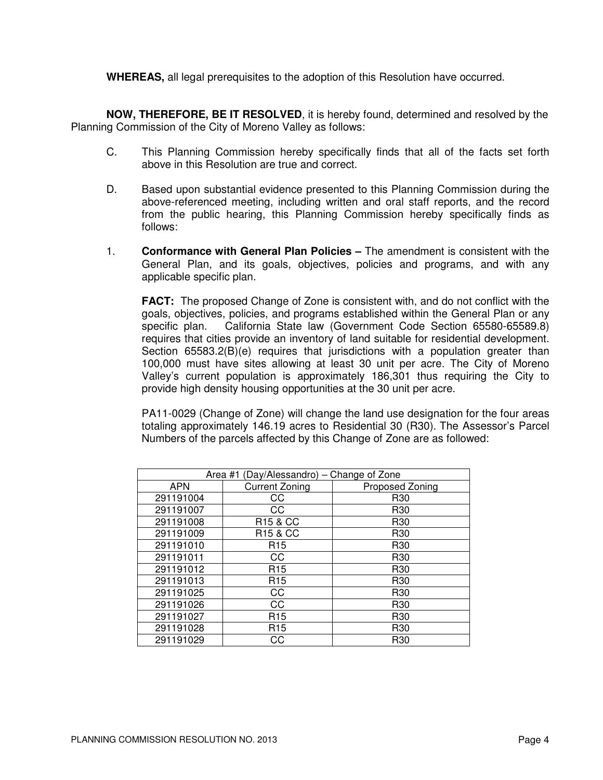**WHEREAS,** all legal prerequisites to the adoption of this Resolution have occurred.

**NOW, THEREFORE, BE IT RESOLVED**, it is hereby found, determined and resolved by the Planning Commission of the City of Moreno Valley as follows:

- C. This Planning Commission hereby specifically finds that all of the facts set forth above in this Resolution are true and correct.
- D. Based upon substantial evidence presented to this Planning Commission during the above-referenced meeting, including written and oral staff reports, and the record from the public hearing, this Planning Commission hereby specifically finds as follows:
- 1. **Conformance with General Plan Policies** The amendment is consistent with the General Plan, and its goals, objectives, policies and programs, and with any applicable specific plan.

**FACT:** The proposed Change of Zone is consistent with, and do not conflict with the goals, objectives, policies, and programs established within the General Plan or any specific plan. California State law (Government Code Section 65580-65589.8) requires that cities provide an inventory of land suitable for residential development. Section 65583.2(B)(e) requires that jurisdictions with a population greater than 100,000 must have sites allowing at least 30 unit per acre. The City of Moreno Valley's current population is approximately 186,301 thus requiring the City to provide high density housing opportunities at the 30 unit per acre.

PA11-0029 (Change of Zone) will change the land use designation for the four areas totaling approximately 146.19 acres to Residential 30 (R30). The Assessor's Parcel Numbers of the parcels affected by this Change of Zone are as followed:

| Area #1 (Day/Alessandro) - Change of Zone |                       |                 |
|-------------------------------------------|-----------------------|-----------------|
| <b>APN</b>                                | <b>Current Zoning</b> | Proposed Zoning |
| 291191004                                 | CС                    | R <sub>30</sub> |
| 291191007                                 | CC                    | R <sub>30</sub> |
| 291191008                                 | R <sub>15</sub> & CC  | R <sub>30</sub> |
| 291191009                                 | R <sub>15</sub> & CC  | R <sub>30</sub> |
| 291191010                                 | R <sub>15</sub>       | R <sub>30</sub> |
| 291191011                                 | CС                    | R <sub>30</sub> |
| 291191012                                 | R <sub>15</sub>       | R <sub>30</sub> |
| 291191013                                 | R <sub>15</sub>       | R30             |
| 291191025                                 | CC                    | R <sub>30</sub> |
| 291191026                                 | CС                    | R <sub>30</sub> |
| 291191027                                 | R <sub>15</sub>       | R <sub>30</sub> |
| 291191028                                 | R <sub>15</sub>       | R <sub>30</sub> |
| 291191029                                 | CС                    | R <sub>30</sub> |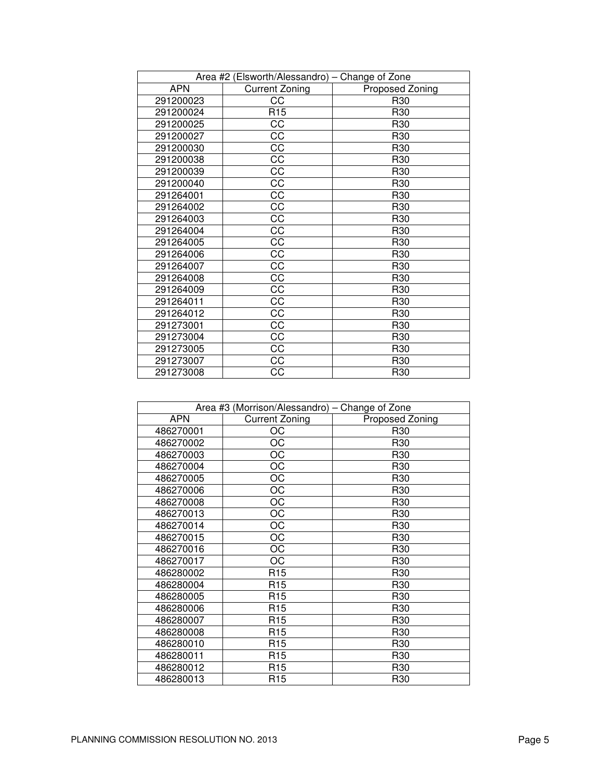| Area #2 (Elsworth/Alessandro) - Change of Zone |                       |                 |
|------------------------------------------------|-----------------------|-----------------|
| <b>APN</b>                                     | <b>Current Zoning</b> | Proposed Zoning |
| 291200023                                      | CС                    | R30             |
| 291200024                                      | R <sub>15</sub>       | R <sub>30</sub> |
| 291200025                                      | CC                    | R30             |
| 291200027                                      | CC                    | R30             |
| 291200030                                      | CC                    | R <sub>30</sub> |
| 291200038                                      | CC                    | R30             |
| 291200039                                      | $\overline{CC}$       | R30             |
| 291200040                                      | CC                    | R30             |
| 291264001                                      | $\overline{CC}$       | R30             |
| 291264002                                      | $\overline{cc}$       | R30             |
| 291264003                                      | $\overline{cc}$       | R30             |
| 291264004                                      | CC                    | R30             |
| 291264005                                      | CC                    | R30             |
| 291264006                                      | СC                    | R30             |
| 291264007                                      | СC                    | R30             |
| 291264008                                      | $\overline{CC}$       | R30             |
| 291264009                                      | СC                    | R30             |
| 291264011                                      | $\overline{cc}$       | R30             |
| 291264012                                      | СC                    | R30             |
| 291273001                                      | $\overline{cc}$       | R30             |
| 291273004                                      | СC                    | R30             |
| 291273005                                      | СC                    | R30             |
| 291273007                                      | СC                    | R30             |
| 291273008                                      | CС                    | R30             |

| Area #3 (Morrison/Alessandro) - Change of Zone |                       |                 |
|------------------------------------------------|-----------------------|-----------------|
| <b>APN</b>                                     | <b>Current Zoning</b> | Proposed Zoning |
| 486270001                                      | ОC                    | R <sub>30</sub> |
| 486270002                                      | ОC                    | R30             |
| 486270003                                      | ОC                    | R <sub>30</sub> |
| 486270004                                      | OC                    | R30             |
| 486270005                                      | ОC                    | R30             |
| 486270006                                      | OC                    | R30             |
| 486270008                                      | ОC                    | R <sub>30</sub> |
| 486270013                                      | OC                    | R30             |
| 486270014                                      | ОC                    | R30             |
| 486270015                                      | ОC                    | R <sub>30</sub> |
| 486270016                                      | ОC                    | R30             |
| 486270017                                      | OC                    | R30             |
| 486280002                                      | R <sub>15</sub>       | R30             |
| 486280004                                      | R <sub>15</sub>       | R30             |
| 486280005                                      | R <sub>15</sub>       | R30             |
| 486280006                                      | R <sub>15</sub>       | R <sub>30</sub> |
| 486280007                                      | R <sub>15</sub>       | R30             |
| 486280008                                      | R <sub>15</sub>       | R30             |
| 486280010                                      | R <sub>15</sub>       | R30             |
| 486280011                                      | R <sub>15</sub>       | R30             |
| 486280012                                      | R <sub>15</sub>       | R30             |
| 486280013                                      | R <sub>15</sub>       | R30             |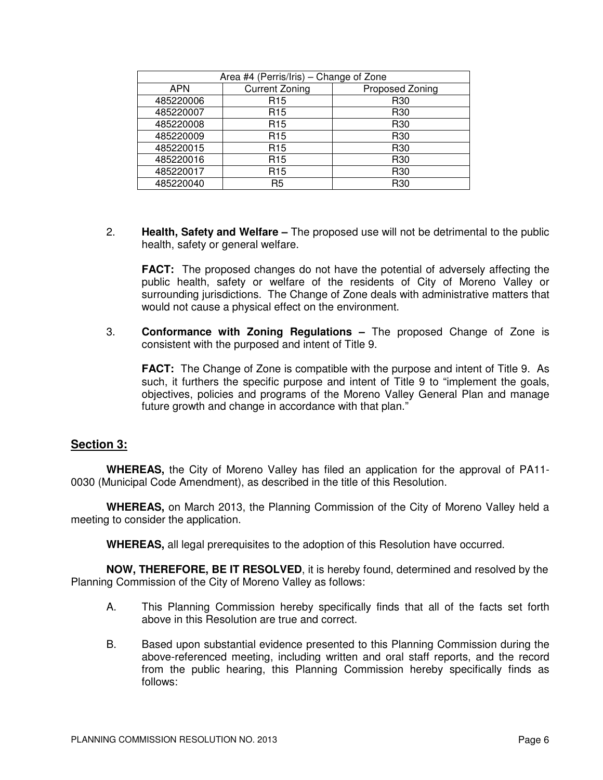| Area #4 (Perris/Iris) – Change of Zone |                       |                 |
|----------------------------------------|-----------------------|-----------------|
| <b>APN</b>                             | <b>Current Zoning</b> | Proposed Zoning |
| 485220006                              | R <sub>15</sub>       | R <sub>30</sub> |
| 485220007                              | R <sub>15</sub>       | R <sub>30</sub> |
| 485220008                              | R <sub>15</sub>       | R <sub>30</sub> |
| 485220009                              | R <sub>15</sub>       | R <sub>30</sub> |
| 485220015                              | R <sub>15</sub>       | R <sub>30</sub> |
| 485220016                              | R <sub>15</sub>       | R <sub>30</sub> |
| 485220017                              | R <sub>15</sub>       | R <sub>30</sub> |
| 485220040                              | R <sub>5</sub>        | R <sub>30</sub> |

2. **Health, Safety and Welfare –** The proposed use will not be detrimental to the public health, safety or general welfare.

**FACT:** The proposed changes do not have the potential of adversely affecting the public health, safety or welfare of the residents of City of Moreno Valley or surrounding jurisdictions. The Change of Zone deals with administrative matters that would not cause a physical effect on the environment.

3. **Conformance with Zoning Regulations –** The proposed Change of Zone is consistent with the purposed and intent of Title 9.

**FACT:** The Change of Zone is compatible with the purpose and intent of Title 9. As such, it furthers the specific purpose and intent of Title 9 to "implement the goals, objectives, policies and programs of the Moreno Valley General Plan and manage future growth and change in accordance with that plan."

# **Section 3:**

**WHEREAS,** the City of Moreno Valley has filed an application for the approval of PA11- 0030 (Municipal Code Amendment), as described in the title of this Resolution.

**WHEREAS,** on March 2013, the Planning Commission of the City of Moreno Valley held a meeting to consider the application.

**WHEREAS,** all legal prerequisites to the adoption of this Resolution have occurred.

**NOW, THEREFORE, BE IT RESOLVED**, it is hereby found, determined and resolved by the Planning Commission of the City of Moreno Valley as follows:

- A. This Planning Commission hereby specifically finds that all of the facts set forth above in this Resolution are true and correct.
- B. Based upon substantial evidence presented to this Planning Commission during the above-referenced meeting, including written and oral staff reports, and the record from the public hearing, this Planning Commission hereby specifically finds as follows: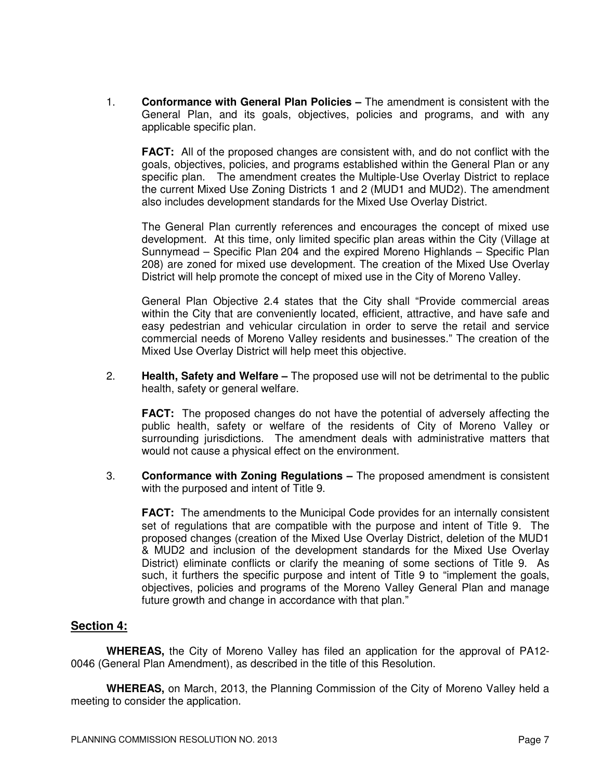1. **Conformance with General Plan Policies –** The amendment is consistent with the General Plan, and its goals, objectives, policies and programs, and with any applicable specific plan.

**FACT:** All of the proposed changes are consistent with, and do not conflict with the goals, objectives, policies, and programs established within the General Plan or any specific plan. The amendment creates the Multiple-Use Overlay District to replace the current Mixed Use Zoning Districts 1 and 2 (MUD1 and MUD2). The amendment also includes development standards for the Mixed Use Overlay District.

The General Plan currently references and encourages the concept of mixed use development. At this time, only limited specific plan areas within the City (Village at Sunnymead – Specific Plan 204 and the expired Moreno Highlands – Specific Plan 208) are zoned for mixed use development. The creation of the Mixed Use Overlay District will help promote the concept of mixed use in the City of Moreno Valley.

General Plan Objective 2.4 states that the City shall "Provide commercial areas within the City that are conveniently located, efficient, attractive, and have safe and easy pedestrian and vehicular circulation in order to serve the retail and service commercial needs of Moreno Valley residents and businesses." The creation of the Mixed Use Overlay District will help meet this objective.

2. **Health, Safety and Welfare –** The proposed use will not be detrimental to the public health, safety or general welfare.

**FACT:** The proposed changes do not have the potential of adversely affecting the public health, safety or welfare of the residents of City of Moreno Valley or surrounding jurisdictions. The amendment deals with administrative matters that would not cause a physical effect on the environment.

3. **Conformance with Zoning Regulations –** The proposed amendment is consistent with the purposed and intent of Title 9.

**FACT:** The amendments to the Municipal Code provides for an internally consistent set of regulations that are compatible with the purpose and intent of Title 9. The proposed changes (creation of the Mixed Use Overlay District, deletion of the MUD1 & MUD2 and inclusion of the development standards for the Mixed Use Overlay District) eliminate conflicts or clarify the meaning of some sections of Title 9. As such, it furthers the specific purpose and intent of Title 9 to "implement the goals, objectives, policies and programs of the Moreno Valley General Plan and manage future growth and change in accordance with that plan."

# **Section 4:**

**WHEREAS,** the City of Moreno Valley has filed an application for the approval of PA12- 0046 (General Plan Amendment), as described in the title of this Resolution.

**WHEREAS,** on March, 2013, the Planning Commission of the City of Moreno Valley held a meeting to consider the application.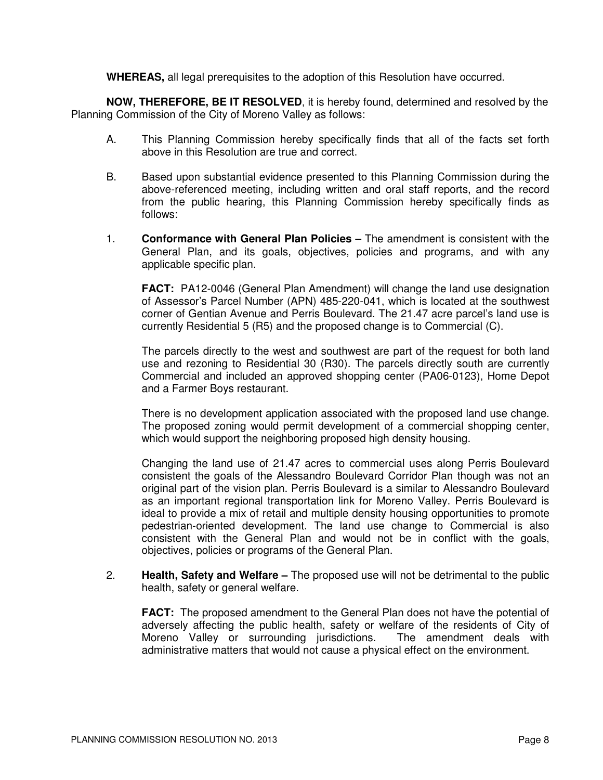**WHEREAS,** all legal prerequisites to the adoption of this Resolution have occurred.

**NOW, THEREFORE, BE IT RESOLVED**, it is hereby found, determined and resolved by the Planning Commission of the City of Moreno Valley as follows:

- A. This Planning Commission hereby specifically finds that all of the facts set forth above in this Resolution are true and correct.
- B. Based upon substantial evidence presented to this Planning Commission during the above-referenced meeting, including written and oral staff reports, and the record from the public hearing, this Planning Commission hereby specifically finds as follows:
- 1. **Conformance with General Plan Policies** The amendment is consistent with the General Plan, and its goals, objectives, policies and programs, and with any applicable specific plan.

**FACT:** PA12-0046 (General Plan Amendment) will change the land use designation of Assessor's Parcel Number (APN) 485-220-041, which is located at the southwest corner of Gentian Avenue and Perris Boulevard. The 21.47 acre parcel's land use is currently Residential 5 (R5) and the proposed change is to Commercial (C).

The parcels directly to the west and southwest are part of the request for both land use and rezoning to Residential 30 (R30). The parcels directly south are currently Commercial and included an approved shopping center (PA06-0123), Home Depot and a Farmer Boys restaurant.

There is no development application associated with the proposed land use change. The proposed zoning would permit development of a commercial shopping center, which would support the neighboring proposed high density housing.

Changing the land use of 21.47 acres to commercial uses along Perris Boulevard consistent the goals of the Alessandro Boulevard Corridor Plan though was not an original part of the vision plan. Perris Boulevard is a similar to Alessandro Boulevard as an important regional transportation link for Moreno Valley. Perris Boulevard is ideal to provide a mix of retail and multiple density housing opportunities to promote pedestrian-oriented development. The land use change to Commercial is also consistent with the General Plan and would not be in conflict with the goals, objectives, policies or programs of the General Plan.

2. **Health, Safety and Welfare –** The proposed use will not be detrimental to the public health, safety or general welfare.

**FACT:** The proposed amendment to the General Plan does not have the potential of adversely affecting the public health, safety or welfare of the residents of City of Moreno Valley or surrounding jurisdictions. The amendment deals with administrative matters that would not cause a physical effect on the environment.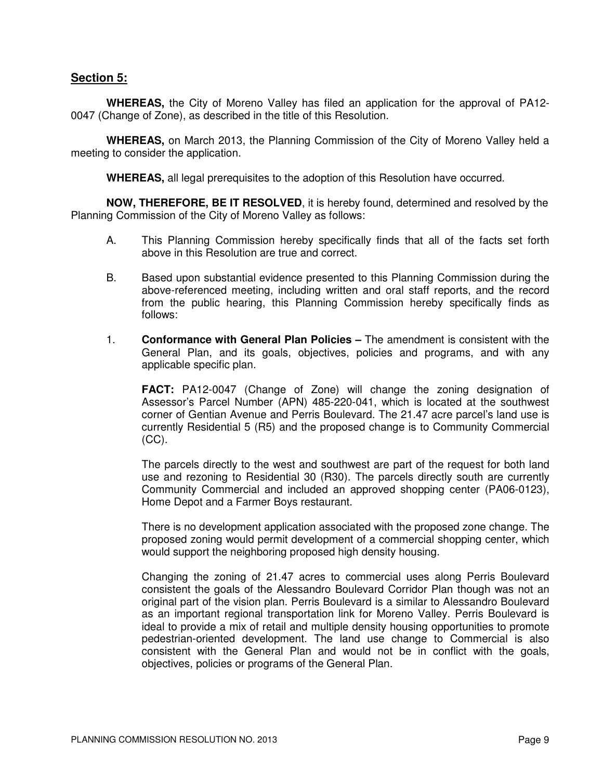### **Section 5:**

**WHEREAS,** the City of Moreno Valley has filed an application for the approval of PA12- 0047 (Change of Zone), as described in the title of this Resolution.

**WHEREAS,** on March 2013, the Planning Commission of the City of Moreno Valley held a meeting to consider the application.

**WHEREAS,** all legal prerequisites to the adoption of this Resolution have occurred.

**NOW, THEREFORE, BE IT RESOLVED**, it is hereby found, determined and resolved by the Planning Commission of the City of Moreno Valley as follows:

- A. This Planning Commission hereby specifically finds that all of the facts set forth above in this Resolution are true and correct.
- B. Based upon substantial evidence presented to this Planning Commission during the above-referenced meeting, including written and oral staff reports, and the record from the public hearing, this Planning Commission hereby specifically finds as follows:
- 1. **Conformance with General Plan Policies** The amendment is consistent with the General Plan, and its goals, objectives, policies and programs, and with any applicable specific plan.

**FACT:** PA12-0047 (Change of Zone) will change the zoning designation of Assessor's Parcel Number (APN) 485-220-041, which is located at the southwest corner of Gentian Avenue and Perris Boulevard. The 21.47 acre parcel's land use is currently Residential 5 (R5) and the proposed change is to Community Commercial (CC).

The parcels directly to the west and southwest are part of the request for both land use and rezoning to Residential 30 (R30). The parcels directly south are currently Community Commercial and included an approved shopping center (PA06-0123), Home Depot and a Farmer Boys restaurant.

There is no development application associated with the proposed zone change. The proposed zoning would permit development of a commercial shopping center, which would support the neighboring proposed high density housing.

Changing the zoning of 21.47 acres to commercial uses along Perris Boulevard consistent the goals of the Alessandro Boulevard Corridor Plan though was not an original part of the vision plan. Perris Boulevard is a similar to Alessandro Boulevard as an important regional transportation link for Moreno Valley. Perris Boulevard is ideal to provide a mix of retail and multiple density housing opportunities to promote pedestrian-oriented development. The land use change to Commercial is also consistent with the General Plan and would not be in conflict with the goals, objectives, policies or programs of the General Plan.